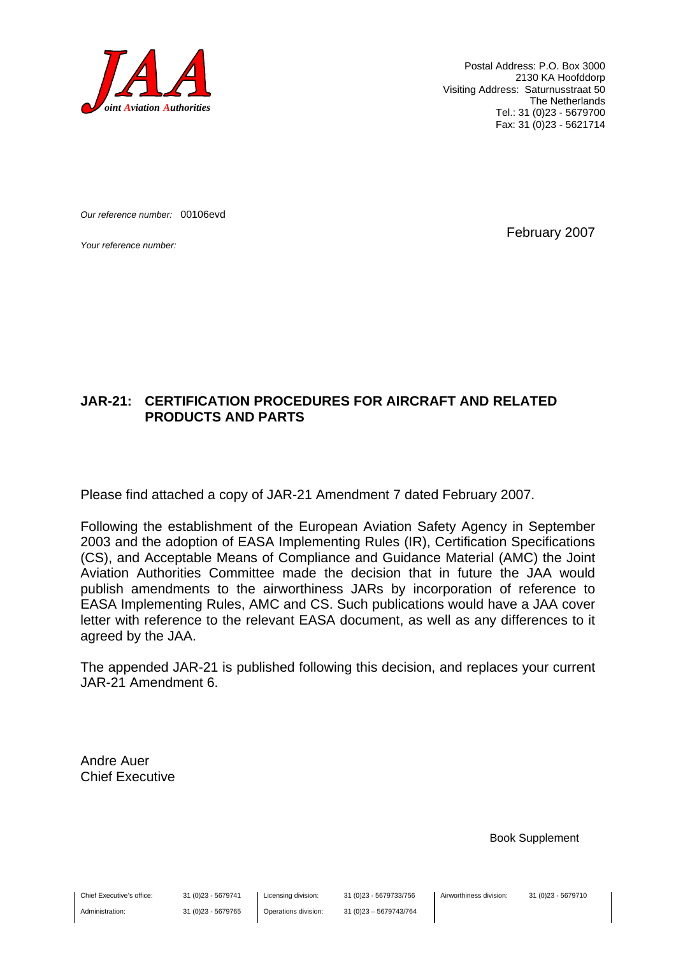

Postal Address: P.O. Box 3000 2130 KA Hoofddorp Visiting Address: Saturnusstraat 50 The Netherlands Tel.: 31 (0)23 - 5679700 Fax: 31 (0)23 - 5621714

*Our reference number:* 00106evd

*Your reference number:* February 2007

### **JAR-21: CERTIFICATION PROCEDURES FOR AIRCRAFT AND RELATED PRODUCTS AND PARTS**

Please find attached a copy of JAR-21 Amendment 7 dated February 2007.

Following the establishment of the European Aviation Safety Agency in September 2003 and the adoption of EASA Implementing Rules (IR), Certification Specifications (CS), and Acceptable Means of Compliance and Guidance Material (AMC) the Joint Aviation Authorities Committee made the decision that in future the JAA would publish amendments to the airworthiness JARs by incorporation of reference to EASA Implementing Rules, AMC and CS. Such publications would have a JAA cover letter with reference to the relevant EASA document, as well as any differences to it agreed by the JAA.

The appended JAR-21 is published following this decision, and replaces your current JAR-21 Amendment 6.

Andre Auer Chief Executive

Book Supplement

Chief Executive's office:

Administration:

31 (0)23 - 5679741 31 (0)23 - 5679765 Licensing division: Operations division: 31 (0)23 - 5679733/756 31 (0)23 – 5679743/764

Airworthiness division: 31 (0)23 - 5679710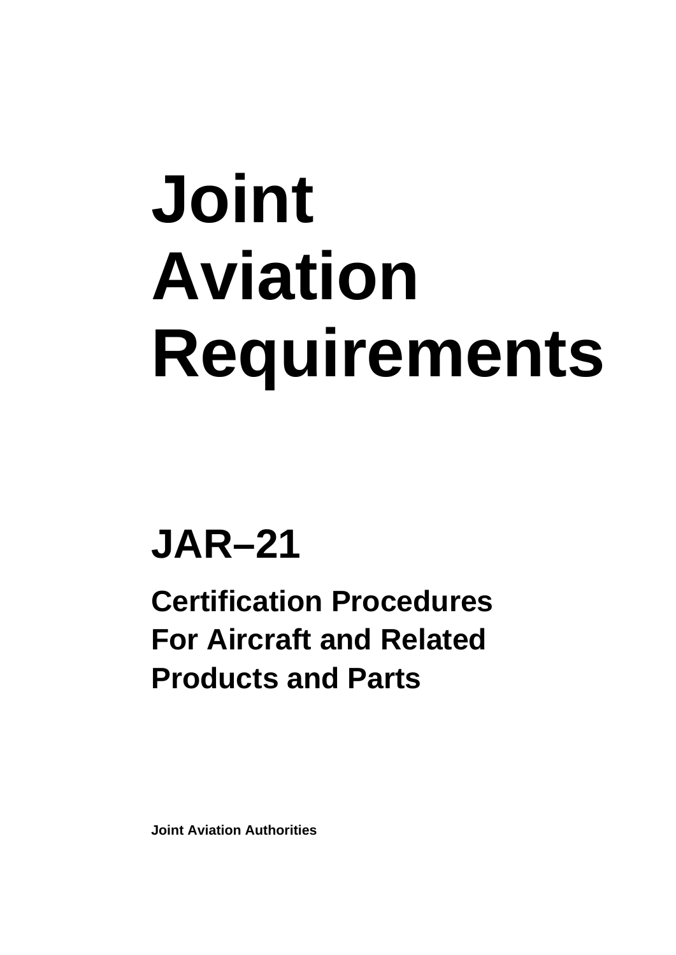# **Joint Aviation Requirements**

## **JAR–21**

**Certification Procedures For Aircraft and Related Products and Parts** 

**Joint Aviation Authorities**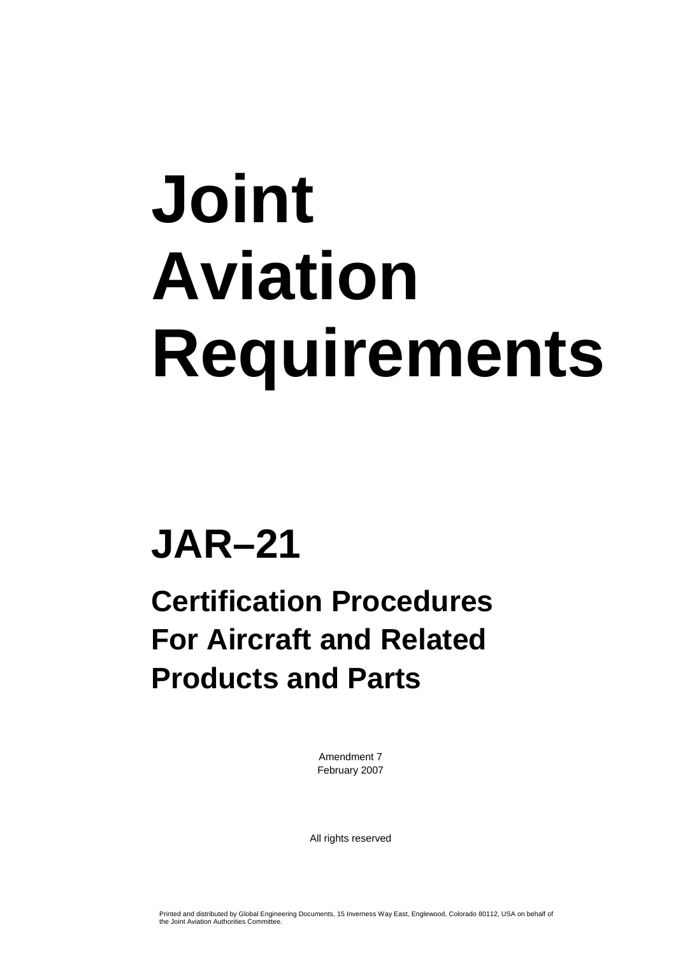# **Joint Aviation Requirements**

## **JAR–21**

### **Certification Procedures For Aircraft and Related Products and Parts**

Amendment 7 February 2007

All rights reserved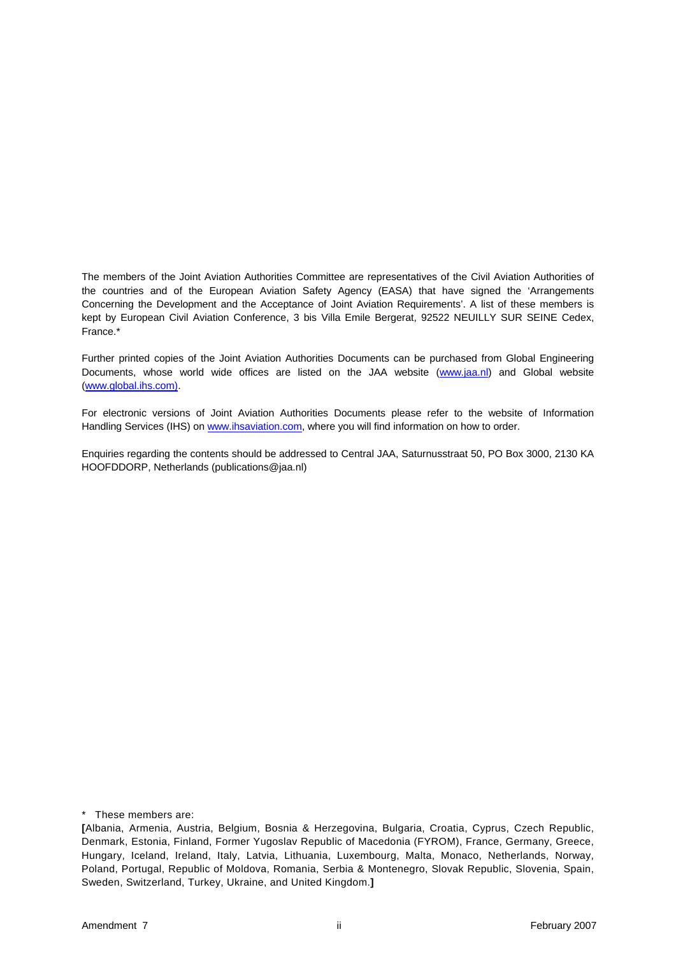The members of the Joint Aviation Authorities Committee are representatives of the Civil Aviation Authorities of the countries and of the European Aviation Safety Agency (EASA) that have signed the 'Arrangements Concerning the Development and the Acceptance of Joint Aviation Requirements'. A list of these members is kept by European Civil Aviation Conference, 3 bis Villa Emile Bergerat, 92522 NEUILLY SUR SEINE Cedex, France.\*

Further printed copies of the Joint Aviation Authorities Documents can be purchased from Global Engineering Documents, whose world wide offices are listed on the JAA website [\(www.jaa.nl](http://www.jaa.nl/)) and Global website ([www.global.ihs.com\).](http://www.global.ihs.com)/)

For electronic versions of Joint Aviation Authorities Documents please refer to the website of Information Handling Services (IHS) on [www.ihsaviation.com](http://www.ihsaviation.com/), where you will find information on how to order.

Enquiries regarding the contents should be addressed to Central JAA, Saturnusstraat 50, PO Box 3000, 2130 KA HOOFDDORP, Netherlands (publications@jaa.nl)

\* These members are:

**<sup>[</sup>**Albania, Armenia, Austria, Belgium, Bosnia & Herzegovina, Bulgaria, Croatia, Cyprus, Czech Republic, Denmark, Estonia, Finland, Former Yugoslav Republic of Macedonia (FYROM), France, Germany, Greece, Hungary, Iceland, Ireland, Italy, Latvia, Lithuania, Luxembourg, Malta, Monaco, Netherlands, Norway, Poland, Portugal, Republic of Moldova, Romania, Serbia & Montenegro, Slovak Republic, Slovenia, Spain, Sweden, Switzerland, Turkey, Ukraine, and United Kingdom.**]**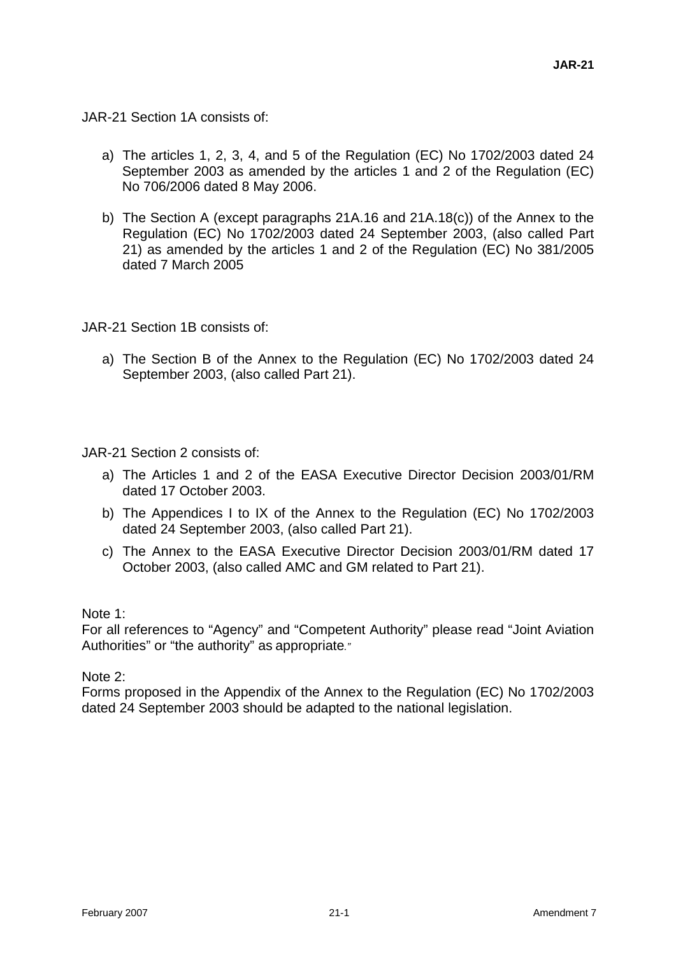JAR-21 Section 1A consists of:

- a) The articles 1, 2, 3, 4, and 5 of the Regulation (EC) No 1702/2003 dated 24 September 2003 as amended by the articles 1 and 2 of the Regulation (EC) No 706/2006 dated 8 May 2006.
- b) The Section A (except paragraphs 21A.16 and 21A.18(c)) of the Annex to the Regulation (EC) No 1702/2003 dated 24 September 2003, (also called Part 21) as amended by the articles 1 and 2 of the Regulation (EC) No 381/2005 dated 7 March 2005

JAR-21 Section 1B consists of:

a) The Section B of the Annex to the Regulation (EC) No 1702/2003 dated 24 September 2003, (also called Part 21).

JAR-21 Section 2 consists of:

- a) The Articles 1 and 2 of the EASA Executive Director Decision 2003/01/RM dated 17 October 2003.
- b) The Appendices I to IX of the Annex to the Regulation (EC) No 1702/2003 dated 24 September 2003, (also called Part 21).
- c) The Annex to the EASA Executive Director Decision 2003/01/RM dated 17 October 2003, (also called AMC and GM related to Part 21).

Note 1:

For all references to "Agency" and "Competent Authority" please read "Joint Aviation Authorities" or "the authority" as appropriate*."*

Note 2:

Forms proposed in the Appendix of the Annex to the Regulation (EC) No 1702/2003 dated 24 September 2003 should be adapted to the national legislation.